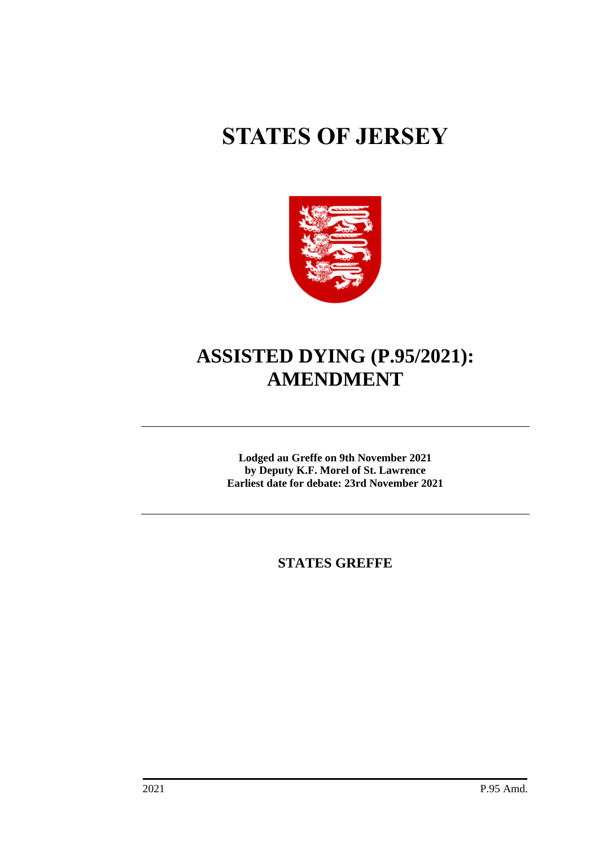# **STATES OF JERSEY**



# **ASSISTED DYING (P.95/2021): AMENDMENT**

**Lodged au Greffe on 9th November 2021 by Deputy K.F. Morel of St. Lawrence Earliest date for debate: 23rd November 2021**

**STATES GREFFE**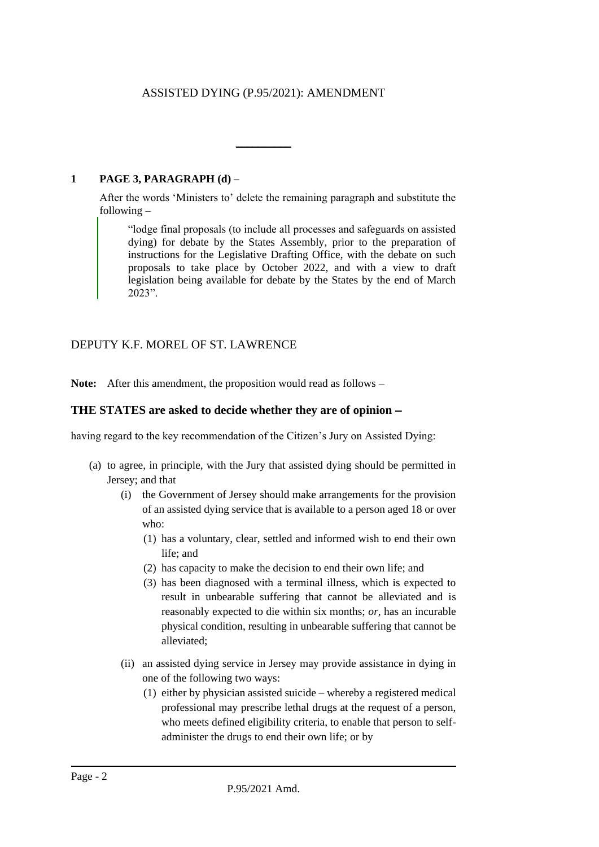# ASSISTED DYING (P.95/2021): AMENDMENT

 $\overline{\phantom{a}}$ 

## **1 PAGE 3, PARAGRAPH (d) –**

After the words 'Ministers to' delete the remaining paragraph and substitute the following –

"lodge final proposals (to include all processes and safeguards on assisted dying) for debate by the States Assembly, prior to the preparation of instructions for the Legislative Drafting Office, with the debate on such proposals to take place by October 2022, and with a view to draft legislation being available for debate by the States by the end of March 2023".

# DEPUTY K.F. MOREL OF ST. LAWRENCE

**Note:** After this amendment, the proposition would read as follows –

#### **THE STATES are asked to decide whether they are of opinion** −

having regard to the key recommendation of the Citizen's Jury on Assisted Dying:

- (a) to agree, in principle, with the Jury that assisted dying should be permitted in Jersey; and that
	- (i) the Government of Jersey should make arrangements for the provision of an assisted dying service that is available to a person aged 18 or over who:
		- (1) has a voluntary, clear, settled and informed wish to end their own life; and
		- (2) has capacity to make the decision to end their own life; and
		- (3) has been diagnosed with a terminal illness, which is expected to result in unbearable suffering that cannot be alleviated and is reasonably expected to die within six months; *or,* has an incurable physical condition, resulting in unbearable suffering that cannot be alleviated;
	- (ii) an assisted dying service in Jersey may provide assistance in dying in one of the following two ways:
		- (1) either by physician assisted suicide whereby a registered medical professional may prescribe lethal drugs at the request of a person, who meets defined eligibility criteria, to enable that person to selfadminister the drugs to end their own life; or by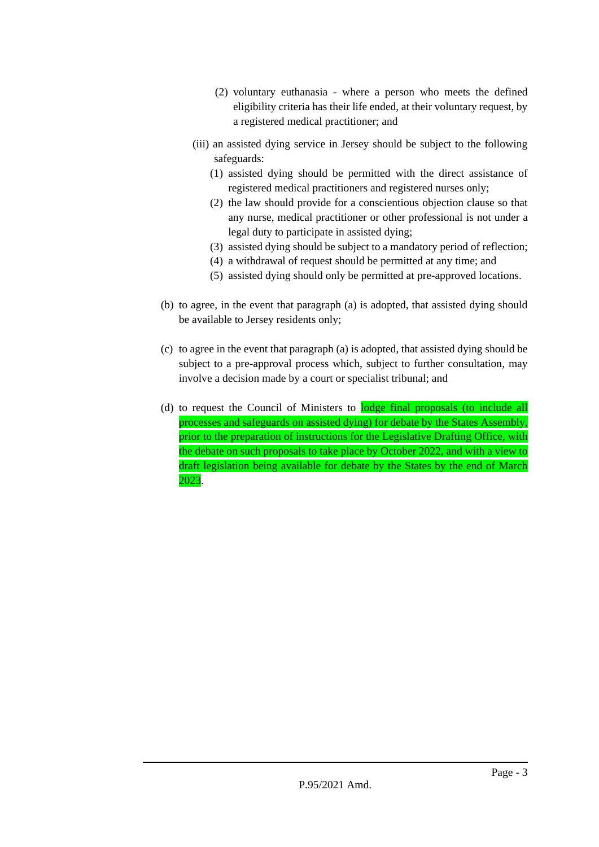- (2) voluntary euthanasia where a person who meets the defined eligibility criteria has their life ended, at their voluntary request, by a registered medical practitioner; and
- (iii) an assisted dying service in Jersey should be subject to the following safeguards:
	- (1) assisted dying should be permitted with the direct assistance of registered medical practitioners and registered nurses only;
	- (2) the law should provide for a conscientious objection clause so that any nurse, medical practitioner or other professional is not under a legal duty to participate in assisted dying;
	- (3) assisted dying should be subject to a mandatory period of reflection;
	- (4) a withdrawal of request should be permitted at any time; and
	- (5) assisted dying should only be permitted at pre-approved locations.
- (b) to agree, in the event that paragraph (a) is adopted, that assisted dying should be available to Jersey residents only;
- (c) to agree in the event that paragraph (a) is adopted, that assisted dying should be subject to a pre-approval process which, subject to further consultation, may involve a decision made by a court or specialist tribunal; and
- (d) to request the Council of Ministers to lodge final proposals (to include all processes and safeguards on assisted dying) for debate by the States Assembly, prior to the preparation of instructions for the Legislative Drafting Office, with the debate on such proposals to take place by October 2022, and with a view to draft legislation being available for debate by the States by the end of March 2023.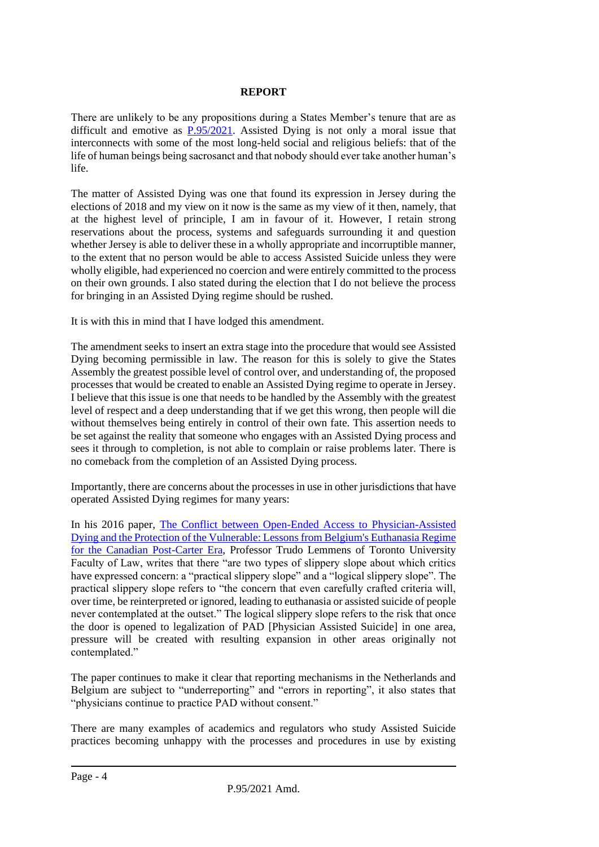## **REPORT**

There are unlikely to be any propositions during a States Member's tenure that are as difficult and emotive as [P.95/2021.](https://statesassembly.gov.je/assemblypropositions/2021/p.95-2021.pdf) Assisted Dying is not only a moral issue that interconnects with some of the most long-held social and religious beliefs: that of the life of human beings being sacrosanct and that nobody should ever take another human's life.

The matter of Assisted Dying was one that found its expression in Jersey during the elections of 2018 and my view on it now is the same as my view of it then, namely, that at the highest level of principle, I am in favour of it. However, I retain strong reservations about the process, systems and safeguards surrounding it and question whether Jersey is able to deliver these in a wholly appropriate and incorruptible manner, to the extent that no person would be able to access Assisted Suicide unless they were wholly eligible, had experienced no coercion and were entirely committed to the process on their own grounds. I also stated during the election that I do not believe the process for bringing in an Assisted Dying regime should be rushed.

It is with this in mind that I have lodged this amendment.

The amendment seeks to insert an extra stage into the procedure that would see Assisted Dying becoming permissible in law. The reason for this is solely to give the States Assembly the greatest possible level of control over, and understanding of, the proposed processes that would be created to enable an Assisted Dying regime to operate in Jersey. I believe that this issue is one that needs to be handled by the Assembly with the greatest level of respect and a deep understanding that if we get this wrong, then people will die without themselves being entirely in control of their own fate. This assertion needs to be set against the reality that someone who engages with an Assisted Dying process and sees it through to completion, is not able to complain or raise problems later. There is no comeback from the completion of an Assisted Dying process.

Importantly, there are concerns about the processes in use in other jurisdictions that have operated Assisted Dying regimes for many years:

In his 2016 paper, [The Conflict between Open-Ended Access to Physician-Assisted](https://papers.ssrn.com/sol3/papers.cfm?abstract_id=2734543)  [Dying and the Protection of the Vulnerable: Lessons from Belgium's Euthanasia Regime](https://papers.ssrn.com/sol3/papers.cfm?abstract_id=2734543)  [for the Canadian Post-Carter Era,](https://papers.ssrn.com/sol3/papers.cfm?abstract_id=2734543) Professor Trudo Lemmens of Toronto University Faculty of Law, writes that there "are two types of slippery slope about which critics have expressed concern: a "practical slippery slope" and a "logical slippery slope". The practical slippery slope refers to "the concern that even carefully crafted criteria will, over time, be reinterpreted or ignored, leading to euthanasia or assisted suicide of people never contemplated at the outset." The logical slippery slope refers to the risk that once the door is opened to legalization of PAD [Physician Assisted Suicide] in one area, pressure will be created with resulting expansion in other areas originally not contemplated."

The paper continues to make it clear that reporting mechanisms in the Netherlands and Belgium are subject to "underreporting" and "errors in reporting", it also states that "physicians continue to practice PAD without consent."

There are many examples of academics and regulators who study Assisted Suicide practices becoming unhappy with the processes and procedures in use by existing